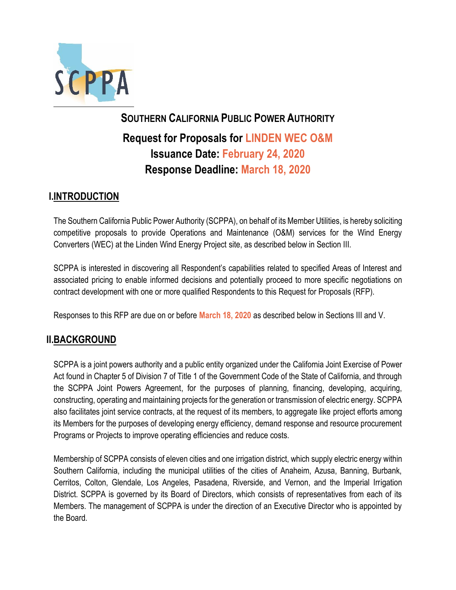

# **SOUTHERN CALIFORNIA PUBLIC POWER AUTHORITY Request for Proposals for LINDEN WEC O&M Issuance Date: February 24, 2020 Response Deadline: March 18, 2020**

# **I.INTRODUCTION**

The Southern California Public Power Authority (SCPPA), on behalf of its Member Utilities, is hereby soliciting competitive proposals to provide Operations and Maintenance (O&M) services for the Wind Energy Converters (WEC) at the Linden Wind Energy Project site, as described below in Section III.

SCPPA is interested in discovering all Respondent's capabilities related to specified Areas of Interest and associated pricing to enable informed decisions and potentially proceed to more specific negotiations on contract development with one or more qualified Respondents to this Request for Proposals (RFP).

Responses to this RFP are due on or before **March 18, 2020** as described below in Sections III and V.

# **II.BACKGROUND**

SCPPA is a joint powers authority and a public entity organized under the California Joint Exercise of Power Act found in Chapter 5 of Division 7 of Title 1 of the Government Code of the State of California, and through the SCPPA Joint Powers Agreement, for the purposes of planning, financing, developing, acquiring, constructing, operating and maintaining projects for the generation or transmission of electric energy. SCPPA also facilitates joint service contracts, at the request of its members, to aggregate like project efforts among its Members for the purposes of developing energy efficiency, demand response and resource procurement Programs or Projects to improve operating efficiencies and reduce costs.

Membership of SCPPA consists of eleven cities and one irrigation district, which supply electric energy within Southern California, including the municipal utilities of the cities of Anaheim, Azusa, Banning, Burbank, Cerritos, Colton, Glendale, Los Angeles, Pasadena, Riverside, and Vernon, and the Imperial Irrigation District. SCPPA is governed by its Board of Directors, which consists of representatives from each of its Members. The management of SCPPA is under the direction of an Executive Director who is appointed by the Board.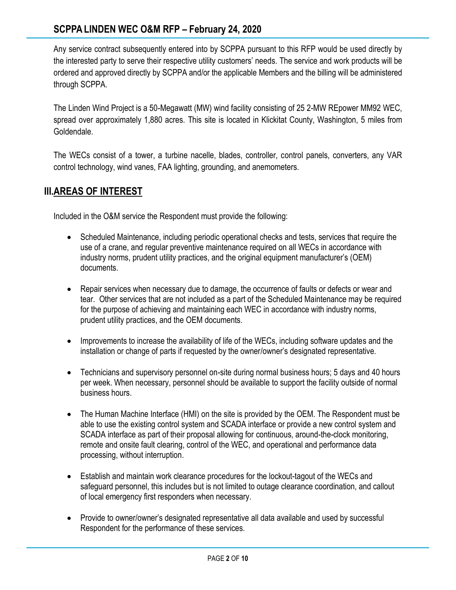# **SCPPALINDEN WEC O&M RFP – February 24, 2020**

Any service contract subsequently entered into by SCPPA pursuant to this RFP would be used directly by the interested party to serve their respective utility customers' needs. The service and work products will be ordered and approved directly by SCPPA and/or the applicable Members and the billing will be administered through SCPPA.

The Linden Wind Project is a 50-Megawatt (MW) wind facility consisting of 25 2-MW REpower MM92 WEC, spread over approximately 1,880 acres. This site is located in Klickitat County, Washington, 5 miles from Goldendale.

The WECs consist of a tower, a turbine nacelle, blades, controller, control panels, converters, any VAR control technology, wind vanes, FAA lighting, grounding, and anemometers.

## **III.AREAS OF INTEREST**

Included in the O&M service the Respondent must provide the following:

- Scheduled Maintenance, including periodic operational checks and tests, services that require the use of a crane, and regular preventive maintenance required on all WECs in accordance with industry norms, prudent utility practices, and the original equipment manufacturer's (OEM) documents.
- Repair services when necessary due to damage, the occurrence of faults or defects or wear and tear. Other services that are not included as a part of the Scheduled Maintenance may be required for the purpose of achieving and maintaining each WEC in accordance with industry norms, prudent utility practices, and the OEM documents.
- Improvements to increase the availability of life of the WECs, including software updates and the installation or change of parts if requested by the owner/owner's designated representative.
- Technicians and supervisory personnel on-site during normal business hours; 5 days and 40 hours per week. When necessary, personnel should be available to support the facility outside of normal business hours.
- The Human Machine Interface (HMI) on the site is provided by the OEM. The Respondent must be able to use the existing control system and SCADA interface or provide a new control system and SCADA interface as part of their proposal allowing for continuous, around-the-clock monitoring, remote and onsite fault clearing, control of the WEC, and operational and performance data processing, without interruption.
- Establish and maintain work clearance procedures for the lockout-tagout of the WECs and safeguard personnel, this includes but is not limited to outage clearance coordination, and callout of local emergency first responders when necessary.
- Provide to owner/owner's designated representative all data available and used by successful Respondent for the performance of these services.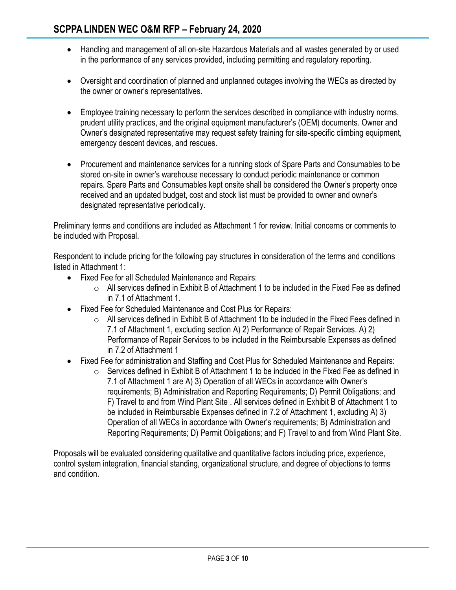- Handling and management of all on-site Hazardous Materials and all wastes generated by or used in the performance of any services provided, including permitting and regulatory reporting.
- Oversight and coordination of planned and unplanned outages involving the WECs as directed by the owner or owner's representatives.
- Employee training necessary to perform the services described in compliance with industry norms, prudent utility practices, and the original equipment manufacturer's (OEM) documents. Owner and Owner's designated representative may request safety training for site-specific climbing equipment, emergency descent devices, and rescues.
- Procurement and maintenance services for a running stock of Spare Parts and Consumables to be stored on-site in owner's warehouse necessary to conduct periodic maintenance or common repairs. Spare Parts and Consumables kept onsite shall be considered the Owner's property once received and an updated budget, cost and stock list must be provided to owner and owner's designated representative periodically.

Preliminary terms and conditions are included as Attachment 1 for review. Initial concerns or comments to be included with Proposal.

Respondent to include pricing for the following pay structures in consideration of the terms and conditions listed in Attachment 1:

- Fixed Fee for all Scheduled Maintenance and Repairs:
	- $\circ$  All services defined in Exhibit B of Attachment 1 to be included in the Fixed Fee as defined in 7.1 of Attachment 1.
- Fixed Fee for Scheduled Maintenance and Cost Plus for Repairs:
	- o All services defined in Exhibit B of Attachment 1to be included in the Fixed Fees defined in 7.1 of Attachment 1, excluding section A) 2) Performance of Repair Services. A) 2) Performance of Repair Services to be included in the Reimbursable Expenses as defined in 7.2 of Attachment 1
- Fixed Fee for administration and Staffing and Cost Plus for Scheduled Maintenance and Repairs:
	- $\circ$  Services defined in Exhibit B of Attachment 1 to be included in the Fixed Fee as defined in 7.1 of Attachment 1 are A) 3) Operation of all WECs in accordance with Owner's requirements; B) Administration and Reporting Requirements; D) Permit Obligations; and F) Travel to and from Wind Plant Site . All services defined in Exhibit B of Attachment 1 to be included in Reimbursable Expenses defined in 7.2 of Attachment 1, excluding A) 3) Operation of all WECs in accordance with Owner's requirements; B) Administration and Reporting Requirements; D) Permit Obligations; and F) Travel to and from Wind Plant Site.

Proposals will be evaluated considering qualitative and quantitative factors including price, experience, control system integration, financial standing, organizational structure, and degree of objections to terms and condition.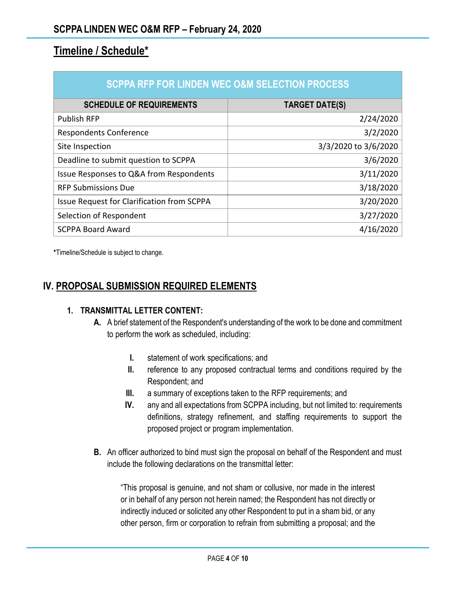# **Timeline / Schedule\***

| <b>SCPPA RFP FOR LINDEN WEC O&amp;M SELECTION PROCESS</b> |                       |
|-----------------------------------------------------------|-----------------------|
| <b>SCHEDULE OF REQUIREMENTS</b>                           | <b>TARGET DATE(S)</b> |
| <b>Publish RFP</b>                                        | 2/24/2020             |
| <b>Respondents Conference</b>                             | 3/2/2020              |
| Site Inspection                                           | 3/3/2020 to 3/6/2020  |
| Deadline to submit question to SCPPA                      | 3/6/2020              |
| Issue Responses to Q&A from Respondents                   | 3/11/2020             |
| <b>RFP Submissions Due</b>                                | 3/18/2020             |
| <b>Issue Request for Clarification from SCPPA</b>         | 3/20/2020             |
| Selection of Respondent                                   | 3/27/2020             |
| <b>SCPPA Board Award</b>                                  | 4/16/2020             |

**\***Timeline/Schedule is subject to change.

## **IV. PROPOSAL SUBMISSION REQUIRED ELEMENTS**

#### **1. TRANSMITTAL LETTER CONTENT:**

- **A.** A brief statement of the Respondent's understanding of the work to be done and commitment to perform the work as scheduled, including:
	- **I.** statement of work specifications; and
	- **II.** reference to any proposed contractual terms and conditions required by the Respondent; and
	- **III.** a summary of exceptions taken to the RFP requirements; and
	- **IV.** any and all expectations from SCPPA including, but not limited to: requirements definitions, strategy refinement, and staffing requirements to support the proposed project or program implementation.
- **B.** An officer authorized to bind must sign the proposal on behalf of the Respondent and must include the following declarations on the transmittal letter:

"This proposal is genuine, and not sham or collusive, nor made in the interest or in behalf of any person not herein named; the Respondent has not directly or indirectly induced or solicited any other Respondent to put in a sham bid, or any other person, firm or corporation to refrain from submitting a proposal; and the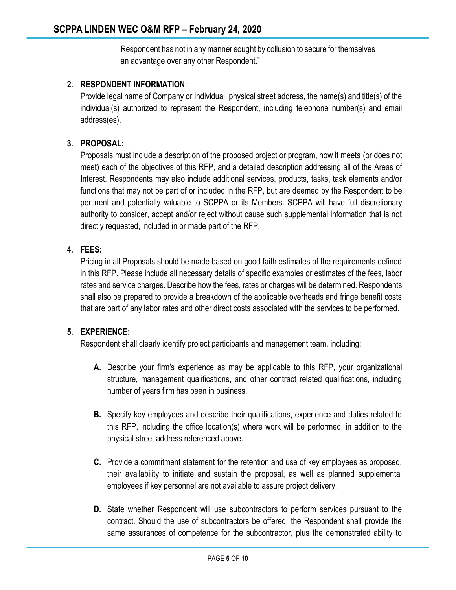Respondent has not in any manner sought by collusion to secure for themselves an advantage over any other Respondent."

## **2. RESPONDENT INFORMATION**:

Provide legal name of Company or Individual, physical street address, the name(s) and title(s) of the individual(s) authorized to represent the Respondent, including telephone number(s) and email address(es).

#### **3. PROPOSAL:**

Proposals must include a description of the proposed project or program, how it meets (or does not meet) each of the objectives of this RFP, and a detailed description addressing all of the Areas of Interest. Respondents may also include additional services, products, tasks, task elements and/or functions that may not be part of or included in the RFP, but are deemed by the Respondent to be pertinent and potentially valuable to SCPPA or its Members. SCPPA will have full discretionary authority to consider, accept and/or reject without cause such supplemental information that is not directly requested, included in or made part of the RFP.

#### **4. FEES:**

Pricing in all Proposals should be made based on good faith estimates of the requirements defined in this RFP. Please include all necessary details of specific examples or estimates of the fees, labor rates and service charges. Describe how the fees, rates or charges will be determined. Respondents shall also be prepared to provide a breakdown of the applicable overheads and fringe benefit costs that are part of any labor rates and other direct costs associated with the services to be performed.

#### **5. EXPERIENCE:**

Respondent shall clearly identify project participants and management team, including:

- **A.** Describe your firm's experience as may be applicable to this RFP, your organizational structure, management qualifications, and other contract related qualifications, including number of years firm has been in business.
- **B.** Specify key employees and describe their qualifications, experience and duties related to this RFP, including the office location(s) where work will be performed, in addition to the physical street address referenced above.
- **C.** Provide a commitment statement for the retention and use of key employees as proposed, their availability to initiate and sustain the proposal, as well as planned supplemental employees if key personnel are not available to assure project delivery.
- **D.** State whether Respondent will use subcontractors to perform services pursuant to the contract. Should the use of subcontractors be offered, the Respondent shall provide the same assurances of competence for the subcontractor, plus the demonstrated ability to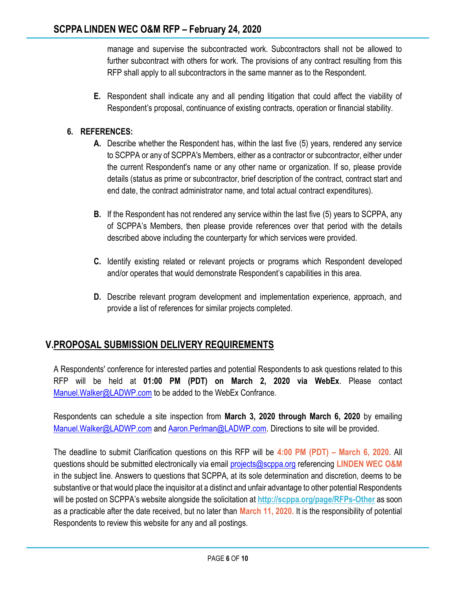manage and supervise the subcontracted work. Subcontractors shall not be allowed to further subcontract with others for work. The provisions of any contract resulting from this RFP shall apply to all subcontractors in the same manner as to the Respondent.

**E.** Respondent shall indicate any and all pending litigation that could affect the viability of Respondent's proposal, continuance of existing contracts, operation or financial stability.

## **6. REFERENCES:**

- **A.** Describe whether the Respondent has, within the last five (5) years, rendered any service to SCPPA or any of SCPPA's Members, either as a contractor or subcontractor, either under the current Respondent's name or any other name or organization. If so, please provide details (status as prime or subcontractor, brief description of the contract, contract start and end date, the contract administrator name, and total actual contract expenditures).
- **B.** If the Respondent has not rendered any service within the last five (5) years to SCPPA, any of SCPPA's Members, then please provide references over that period with the details described above including the counterparty for which services were provided.
- **C.** Identify existing related or relevant projects or programs which Respondent developed and/or operates that would demonstrate Respondent's capabilities in this area.
- **D.** Describe relevant program development and implementation experience, approach, and provide a list of references for similar projects completed.

## **V.PROPOSAL SUBMISSION DELIVERY REQUIREMENTS**

A Respondents' conference for interested parties and potential Respondents to ask questions related to this RFP will be held at **01:00 PM (PDT) on March 2, 2020 via WebEx**. Please contact Manuel. Walker@LADWP.com to be added to the WebEx Confrance.

Respondents can schedule a site inspection from **March 3, 2020 through March 6, 2020** by emailing [Manuel.Walker@LADWP.com](mailto:Manuel.Walker@LADWP.com) and [Aaron.Perlman@LADWP.com.](mailto:Aaron.Perlman@LADWP.com) Directions to site will be provided.

The deadline to submit Clarification questions on this RFP will be **4:00 PM (PDT) – March 6, 2020**. All questions should be submitted electronically via email [projects@scppa.org](mailto:projects@scppa.org) referencing **LINDEN WEC O&M** in the subject line. Answers to questions that SCPPA, at its sole determination and discretion, deems to be substantive or that would place the inquisitor at a distinct and unfair advantage to other potential Respondents will be posted on SCPPA's website alongside the solicitation at **<http://scppa.org/page/RFPs-Other>** as soon as a practicable after the date received, but no later than **March 11, 2020.** It is the responsibility of potential Respondents to review this website for any and all postings.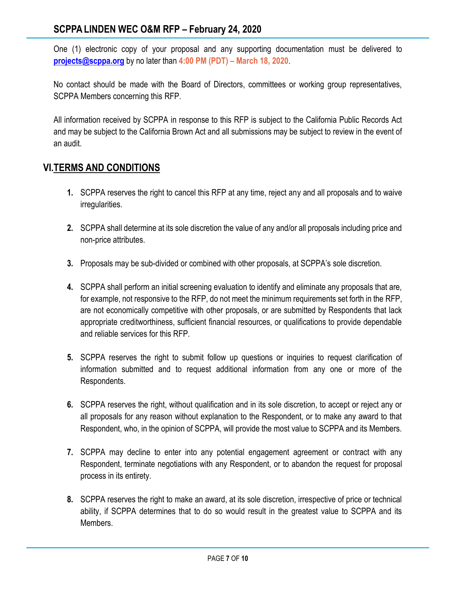One (1) electronic copy of your proposal and any supporting documentation must be delivered to **[projects@scppa.org](mailto:projects@scppa.org)** by no later than **4:00 PM (PDT) – March 18, 2020**.

No contact should be made with the Board of Directors, committees or working group representatives, SCPPA Members concerning this RFP.

All information received by SCPPA in response to this RFP is subject to the California Public Records Act and may be subject to the California Brown Act and all submissions may be subject to review in the event of an audit.

# **VI.TERMS AND CONDITIONS**

- **1.** SCPPA reserves the right to cancel this RFP at any time, reject any and all proposals and to waive irregularities.
- **2.** SCPPA shall determine at its sole discretion the value of any and/or all proposals including price and non-price attributes.
- **3.** Proposals may be sub-divided or combined with other proposals, at SCPPA's sole discretion.
- **4.** SCPPA shall perform an initial screening evaluation to identify and eliminate any proposals that are, for example, not responsive to the RFP, do not meet the minimum requirements set forth in the RFP, are not economically competitive with other proposals, or are submitted by Respondents that lack appropriate creditworthiness, sufficient financial resources, or qualifications to provide dependable and reliable services for this RFP.
- **5.** SCPPA reserves the right to submit follow up questions or inquiries to request clarification of information submitted and to request additional information from any one or more of the Respondents.
- **6.** SCPPA reserves the right, without qualification and in its sole discretion, to accept or reject any or all proposals for any reason without explanation to the Respondent, or to make any award to that Respondent, who, in the opinion of SCPPA, will provide the most value to SCPPA and its Members.
- **7.** SCPPA may decline to enter into any potential engagement agreement or contract with any Respondent, terminate negotiations with any Respondent, or to abandon the request for proposal process in its entirety.
- **8.** SCPPA reserves the right to make an award, at its sole discretion, irrespective of price or technical ability, if SCPPA determines that to do so would result in the greatest value to SCPPA and its Members.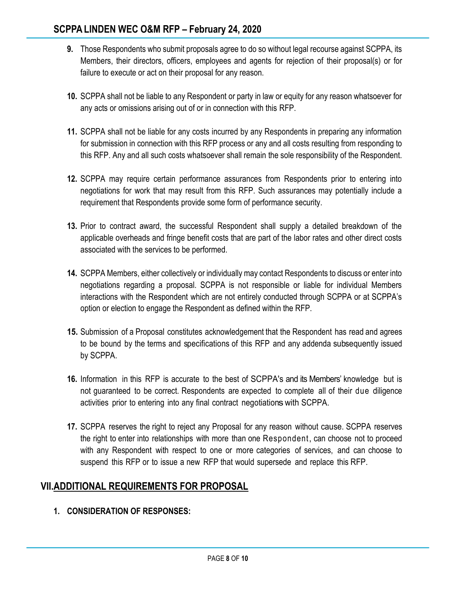- **9.** Those Respondents who submit proposals agree to do so without legal recourse against SCPPA, its Members, their directors, officers, employees and agents for rejection of their proposal(s) or for failure to execute or act on their proposal for any reason.
- **10.** SCPPA shall not be liable to any Respondent or party in law or equity for any reason whatsoever for any acts or omissions arising out of or in connection with this RFP.
- **11.** SCPPA shall not be liable for any costs incurred by any Respondents in preparing any information for submission in connection with this RFP process or any and all costs resulting from responding to this RFP. Any and all such costs whatsoever shall remain the sole responsibility of the Respondent.
- **12.** SCPPA may require certain performance assurances from Respondents prior to entering into negotiations for work that may result from this RFP. Such assurances may potentially include a requirement that Respondents provide some form of performance security.
- **13.** Prior to contract award, the successful Respondent shall supply a detailed breakdown of the applicable overheads and fringe benefit costs that are part of the labor rates and other direct costs associated with the services to be performed.
- **14.** SCPPA Members, either collectively or individually may contact Respondents to discuss or enter into negotiations regarding a proposal. SCPPA is not responsible or liable for individual Members interactions with the Respondent which are not entirely conducted through SCPPA or at SCPPA's option or election to engage the Respondent as defined within the RFP.
- **15.** Submission of a Proposal constitutes acknowledgement that the Respondent has read and agrees to be bound by the terms and specifications of this RFP and any addenda subsequently issued by SCPPA.
- **16.** Information in this RFP is accurate to the best of SCPPA's and its Members' knowledge but is not guaranteed to be correct. Respondents are expected to complete all of their due diligence activities prior to entering into any final contract negotiations with SCPPA.
- **17.** SCPPA reserves the right to reject any Proposal for any reason without cause. SCPPA reserves the right to enter into relationships with more than one Respondent, can choose not to proceed with any Respondent with respect to one or more categories of services, and can choose to suspend this RFP or to issue a new RFP that would supersede and replace this RFP.

# **VII.ADDITIONAL REQUIREMENTS FOR PROPOSAL**

**1. CONSIDERATION OF RESPONSES:**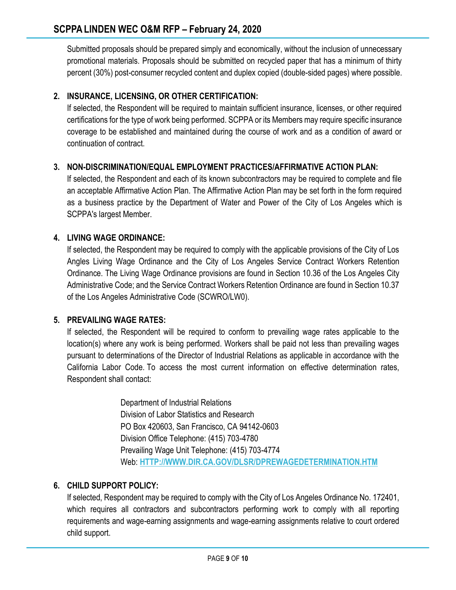Submitted proposals should be prepared simply and economically, without the inclusion of unnecessary promotional materials. Proposals should be submitted on recycled paper that has a minimum of thirty percent (30%) post-consumer recycled content and duplex copied (double-sided pages) where possible.

## **2. INSURANCE, LICENSING, OR OTHER CERTIFICATION:**

If selected, the Respondent will be required to maintain sufficient insurance, licenses, or other required certifications for the type of work being performed. SCPPA or its Members may require specific insurance coverage to be established and maintained during the course of work and as a condition of award or continuation of contract.

## **3. NON-DISCRIMINATION/EQUAL EMPLOYMENT PRACTICES/AFFIRMATIVE ACTION PLAN:**

If selected, the Respondent and each of its known subcontractors may be required to complete and file an acceptable Affirmative Action Plan. The Affirmative Action Plan may be set forth in the form required as a business practice by the Department of Water and Power of the City of Los Angeles which is SCPPA's largest Member.

## **4. LIVING WAGE ORDINANCE:**

If selected, the Respondent may be required to comply with the applicable provisions of the City of Los Angles Living Wage Ordinance and the City of Los Angeles Service Contract Workers Retention Ordinance. The Living Wage Ordinance provisions are found in Section 10.36 of the Los Angeles City Administrative Code; and the Service Contract Workers Retention Ordinance are found in Section 10.37 of the Los Angeles Administrative Code (SCWRO/LW0).

## **5. PREVAILING WAGE RATES:**

If selected, the Respondent will be required to conform to prevailing wage rates applicable to the location(s) where any work is being performed. Workers shall be paid not less than prevailing wages pursuant to determinations of the Director of Industrial Relations as applicable in accordance with the California Labor Code. To access the most current information on effective determination rates, Respondent shall contact:

> Department of Industrial Relations Division of Labor Statistics and Research PO Box 420603, San Francisco, CA 94142-0603 Division Office Telephone: (415) 703-4780 Prevailing Wage Unit Telephone: (415) 703-4774 Web: **[HTTP://WWW.DIR.CA.GOV/DLSR/DPREWAGEDETERMINATION.HTM](http://www.dir.ca.gov/dlsr/DPreWageDetermination.htm)**

## **6. CHILD SUPPORT POLICY:**

If selected, Respondent may be required to comply with the City of Los Angeles Ordinance No. 172401, which requires all contractors and subcontractors performing work to comply with all reporting requirements and wage-earning assignments and wage-earning assignments relative to court ordered child support.